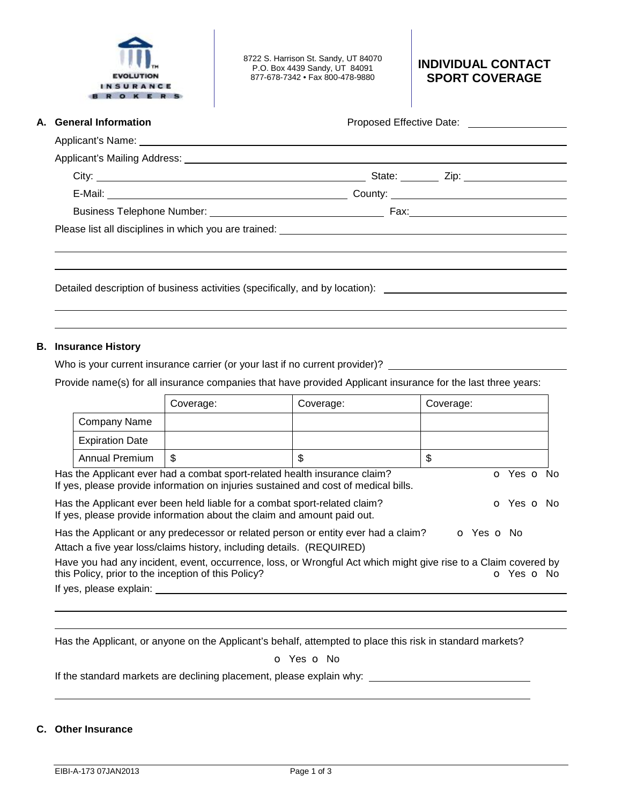

8722 S. Harrison St. Sandy, UT 84070 P.O. Box 4439 Sandy, UT 84091 877-678-7342 • Fax 800-478-9880

# **INDIVIDUAL CONTACT SPORT COVERAGE**

**A.** General Information **A. Constanting Constanting Proposed Effective Date: Proposed Effective Date:** 2008.

| State: <u>__________</u> Zip: _________________________ |  |
|---------------------------------------------------------|--|
|                                                         |  |
|                                                         |  |
|                                                         |  |
|                                                         |  |
|                                                         |  |

Detailed description of business activities (specifically, and by location):

## **B. Insurance History**

 

Who is your current insurance carrier (or your last if no current provider)?

Provide name(s) for all insurance companies that have provided Applicant insurance for the last three years:

|                                                                                                                                                                                |                        | Coverage:                                                             | Coverage:                                                                          | Coverage:                                                                                                                     |  |
|--------------------------------------------------------------------------------------------------------------------------------------------------------------------------------|------------------------|-----------------------------------------------------------------------|------------------------------------------------------------------------------------|-------------------------------------------------------------------------------------------------------------------------------|--|
|                                                                                                                                                                                | Company Name           |                                                                       |                                                                                    |                                                                                                                               |  |
|                                                                                                                                                                                | <b>Expiration Date</b> |                                                                       |                                                                                    |                                                                                                                               |  |
|                                                                                                                                                                                | Annual Premium         | \$                                                                    | \$                                                                                 | \$                                                                                                                            |  |
| Has the Applicant ever had a combat sport-related health insurance claim?<br>o Yes o No<br>If yes, please provide information on injuries sustained and cost of medical bills. |                        |                                                                       |                                                                                    |                                                                                                                               |  |
| Has the Applicant ever been held liable for a combat sport-related claim?<br>O Yes O No<br>If yes, please provide information about the claim and amount paid out.             |                        |                                                                       |                                                                                    |                                                                                                                               |  |
|                                                                                                                                                                                |                        | Attach a five year loss/claims history, including details. (REQUIRED) | Has the Applicant or any predecessor or related person or entity ever had a claim? | O Yes O No                                                                                                                    |  |
|                                                                                                                                                                                |                        | this Policy, prior to the inception of this Policy?                   |                                                                                    | Have you had any incident, event, occurrence, loss, or Wrongful Act which might give rise to a Claim covered by<br>o Yes o No |  |
| If yes, please explain:                                                                                                                                                        |                        |                                                                       |                                                                                    |                                                                                                                               |  |

Has the Applicant, or anyone on the Applicant's behalf, attempted to place this risk in standard markets?

## o Yes o No

If the standard markets are declining placement, please explain why:

## **C. Other Insurance**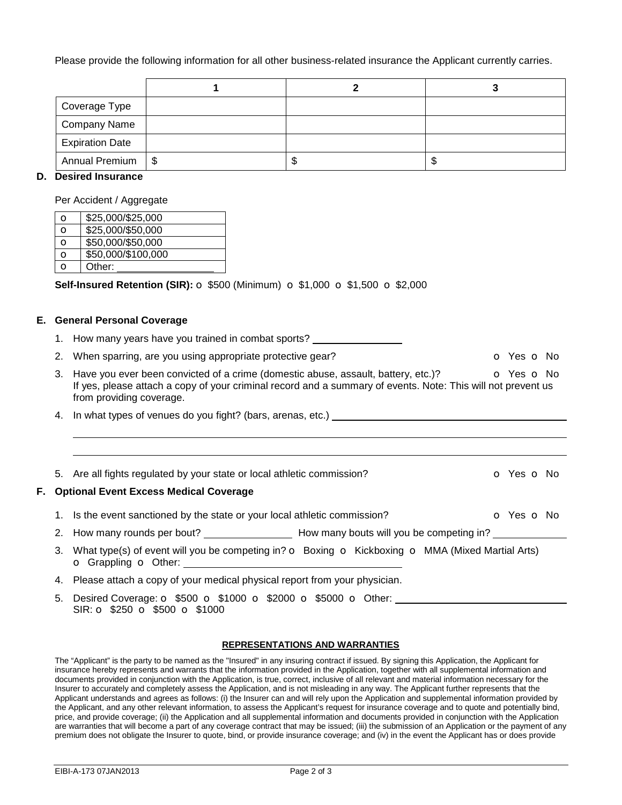Please provide the following information for all other business-related insurance the Applicant currently carries.

| Coverage Type          |  |   |
|------------------------|--|---|
| Company Name           |  |   |
| <b>Expiration Date</b> |  |   |
| Annual Premium   \$    |  | Ъ |

## **D. Desired Insurance**

Per Accident / Aggregate

| O | \$25,000/\$25,000  |
|---|--------------------|
| O | \$25,000/\$50,000  |
| O | \$50,000/\$50,000  |
| O | \$50,000/\$100,000 |
| O | Other:             |

**Self-Insured Retention (SIR):**  $\circ$  **\$500 (Minimum)**  $\circ$  **\$1,000**  $\circ$  **\$1,500**  $\circ$  **\$2,000** 

### **E. General Personal Coverage**

 

- 1. How many years have you trained in combat sports?
- 2. When sparring, are you using appropriate protective gear? **o State State State State August** o Yes **o** No
- 3. Have you ever been convicted of a crime (domestic abuse, assault, battery, etc.)?  $\bullet$  Yes  $\bullet$  No If yes, please attach a copy of your criminal record and a summary of events. Note: This will not prevent us from providing coverage.
- 4. In what types of venues do you fight? (bars, arenas, etc.)
- 5. Are all fights regulated by your state or local athletic commission? **o** Yes **o** No

## **F. Optional Event Excess Medical Coverage**

- 1. Is the event sanctioned by the state or your local athletic commission? **o** Yes **o** No
- 2. How many rounds per bout? How many bouts will you be competing in?
- 3. What type(s) of event will you be competing in?  $\circ$  Boxing  $\circ$  Kickboxing  $\circ$  MMA (Mixed Martial Arts) o Grappling o Other:
- 4. Please attach a copy of your medical physical report from your physician.
- 5. Desired Coverage:  $\circ$  \$500  $\circ$  \$1000  $\circ$  \$2000  $\circ$  \$5000  $\circ$  Other: SIR: **o** \$250 **o** \$500 **o** \$1000

#### **REPRESENTATIONS AND WARRANTIES**

The "Applicant" is the party to be named as the "Insured" in any insuring contract if issued. By signing this Application, the Applicant for insurance hereby represents and warrants that the information provided in the Application, together with all supplemental information and documents provided in conjunction with the Application, is true, correct, inclusive of all relevant and material information necessary for the Insurer to accurately and completely assess the Application, and is not misleading in any way. The Applicant further represents that the Applicant understands and agrees as follows: (i) the Insurer can and will rely upon the Application and supplemental information provided by the Applicant, and any other relevant information, to assess the Applicant's request for insurance coverage and to quote and potentially bind, price, and provide coverage; (ii) the Application and all supplemental information and documents provided in conjunction with the Application are warranties that will become a part of any coverage contract that may be issued; (iii) the submission of an Application or the payment of any premium does not obligate the Insurer to quote, bind, or provide insurance coverage; and (iv) in the event the Applicant has or does provide